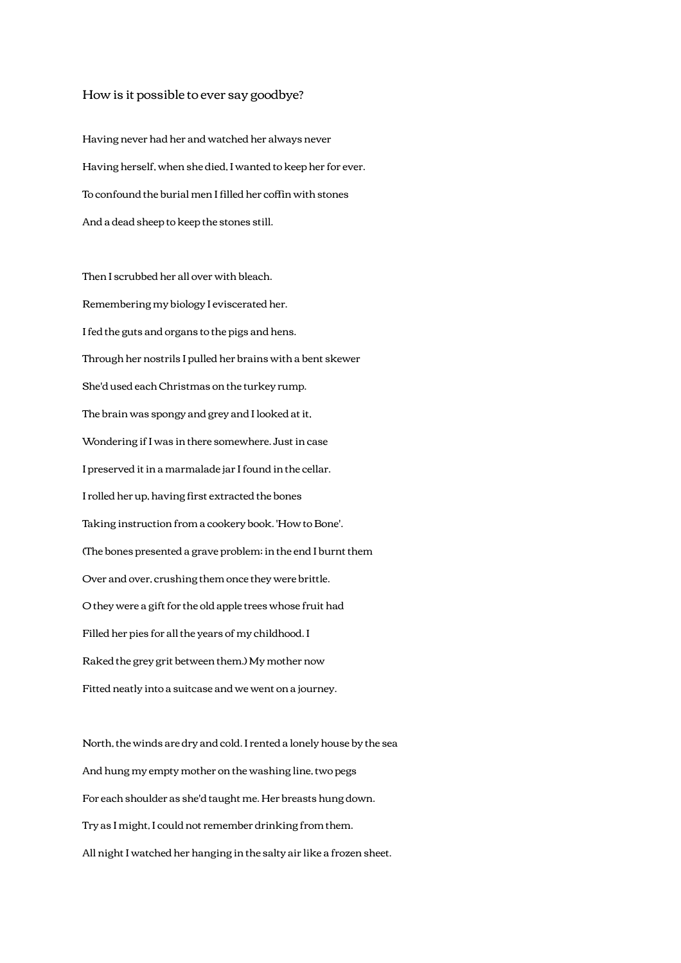## How is it possible to ever say goodbye?

Having never had her and watched her always never Having herself, when she died, I wanted to keep her for ever. To confound the burial men I filled her coffin with stones And a dead sheep to keep the stones still.

Then I scrubbed her all over with bleach. Remembering my biology I eviscerated her. I fed the guts and organs to the pigs and hens. Through her nostrils I pulled her brains with a bent skewer She'd used each Christmas on the turkey rump. The brain was spongy and grey and I looked at it, Wondering if I was in there somewhere. Just in case I preserved it in a marmalade jar I found in the cellar. I rolled her up, having first extracted the bones Taking instruction from a cookery book. 'How to Bone'. (The bones presented a grave problem; in the end I burnt them Over and over, crushing them once they were brittle. O they were a gift for the old apple trees whose fruit had Filled her pies for all the years of my childhood. I Raked the grey grit between them.) My mother now Fitted neatly into a suitcase and we went on a journey.

North, the winds are dry and cold. I rented a lonely house by the sea And hung my empty mother on the washing line, two pegs For each shoulder as she'd taught me. Her breasts hung down. Try as I might, I could not remember drinking from them. All night I watched her hanging in the salty air like a frozen sheet.